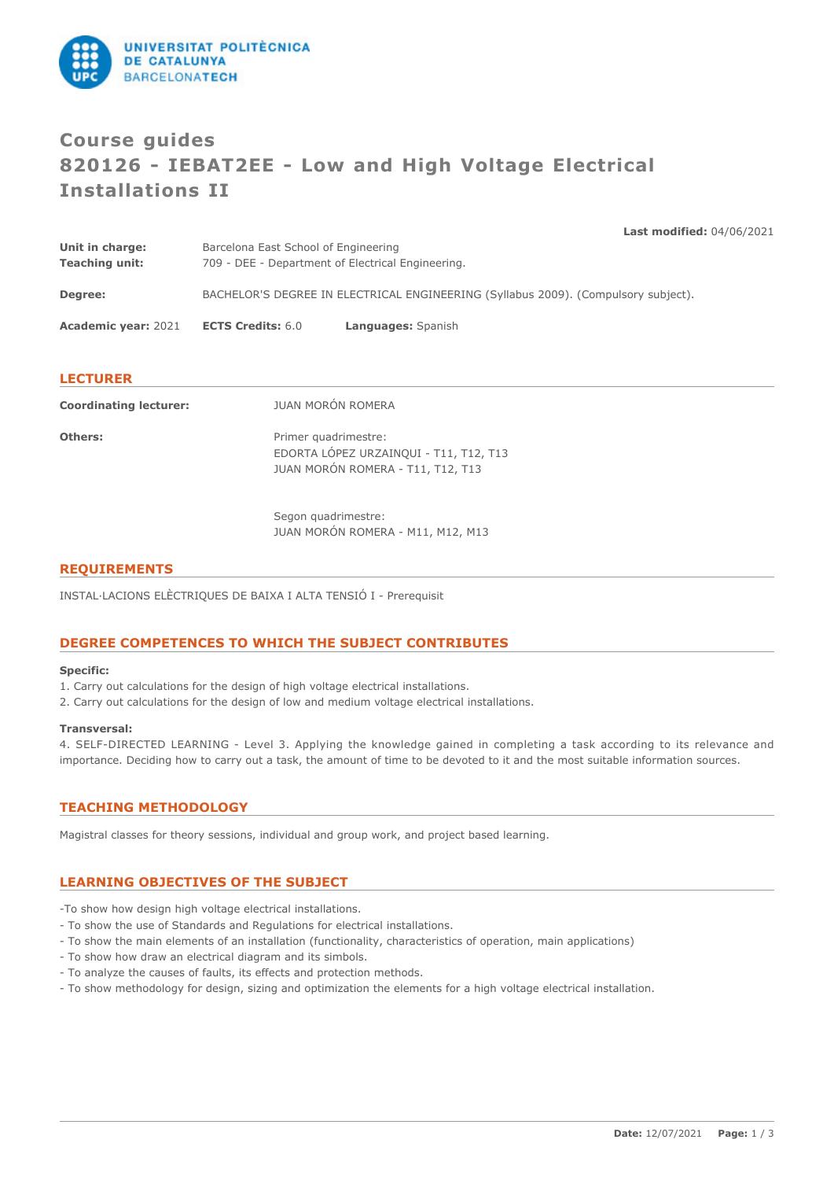

# **Course guides 820126 - IEBAT2EE - Low and High Voltage Electrical Installations II**

**Last modified:** 04/06/2021

| Unit in charge:               | Barcelona East School of Engineering<br>709 - DEE - Department of Electrical Engineering. |  |  |
|-------------------------------|-------------------------------------------------------------------------------------------|--|--|
| <b>Teaching unit:</b>         |                                                                                           |  |  |
| Degree:                       | BACHELOR'S DEGREE IN ELECTRICAL ENGINEERING (Syllabus 2009). (Compulsory subject).        |  |  |
| <b>Academic year: 2021</b>    | <b>ECTS Credits: 6.0</b><br>Languages: Spanish                                            |  |  |
|                               |                                                                                           |  |  |
| <b>LECTURER</b>               |                                                                                           |  |  |
| <b>Coordinating lecturer:</b> | JUAN MORÓN ROMERA                                                                         |  |  |
| Others:                       | Primer quadrimestre:<br>EDORTA LÓPEZ URZAINQUI - T11, T12, T13                            |  |  |
|                               | JUAN MORÓN ROMERA - T11, T12, T13                                                         |  |  |

Segon quadrimestre: JUAN MORÓN ROMERA - M11, M12, M13

### **REQUIREMENTS**

INSTAL·LACIONS ELÈCTRIQUES DE BAIXA I ALTA TENSIÓ I - Prerequisit

### **DEGREE COMPETENCES TO WHICH THE SUBJECT CONTRIBUTES**

### **Specific:**

- 1. Carry out calculations for the design of high voltage electrical installations.
- 2. Carry out calculations for the design of low and medium voltage electrical installations.

### **Transversal:**

4. SELF-DIRECTED LEARNING - Level 3. Applying the knowledge gained in completing a task according to its relevance and importance. Deciding how to carry out a task, the amount of time to be devoted to it and the most suitable information sources.

# **TEACHING METHODOLOGY**

Magistral classes for theory sessions, individual and group work, and project based learning.

# **LEARNING OBJECTIVES OF THE SUBJECT**

- -To show how design high voltage electrical installations.
- To show the use of Standards and Regulations for electrical installations.
- To show the main elements of an installation (functionality, characteristics of operation, main applications)
- To show how draw an electrical diagram and its simbols.
- To analyze the causes of faults, its effects and protection methods.
- To show methodology for design, sizing and optimization the elements for a high voltage electrical installation.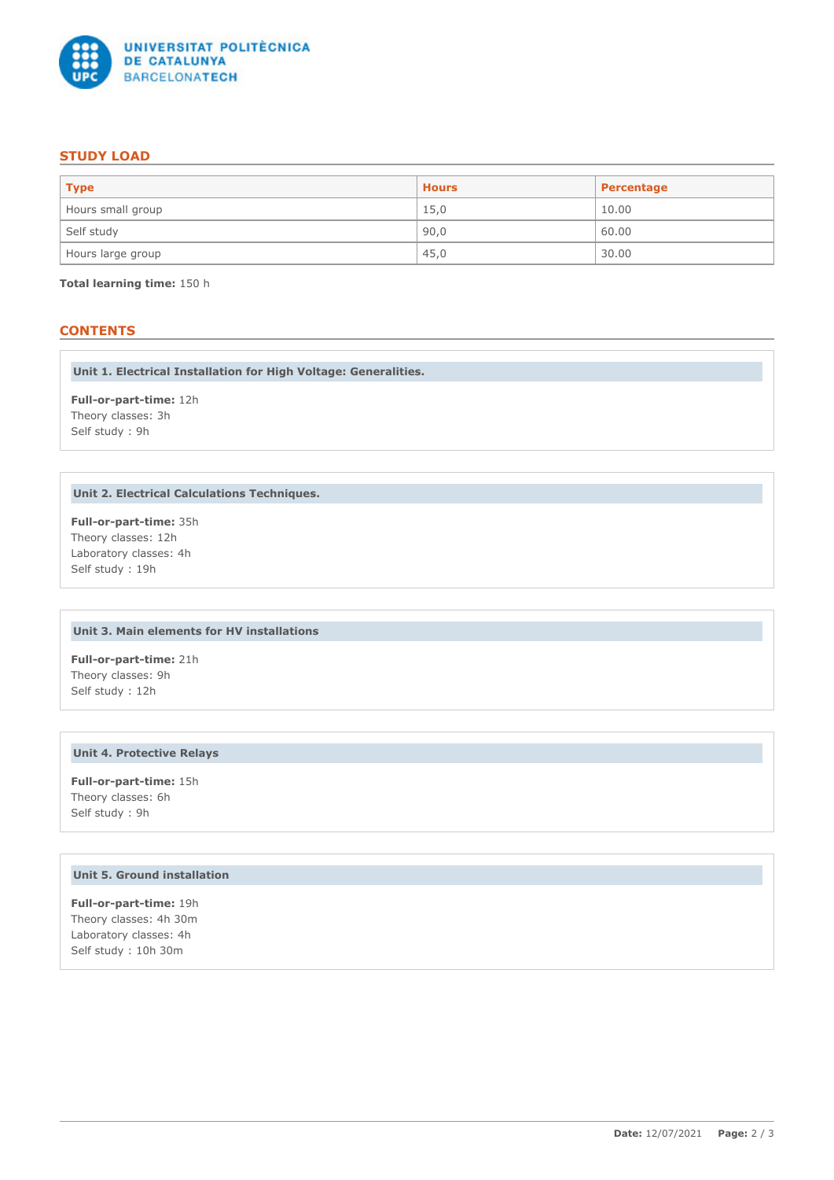

# **STUDY LOAD**

| <b>Type</b>       | <b>Hours</b> | Percentage |
|-------------------|--------------|------------|
| Hours small group | 15,0         | 10.00      |
| Self study        | 90,0         | 60.00      |
| Hours large group | 45,0         | 30.00      |

**Total learning time:** 150 h

# **CONTENTS**

**Unit 1. Electrical Installation for High Voltage: Generalities.**

**Full-or-part-time:** 12h Theory classes: 3h Self study : 9h

### **Unit 2. Electrical Calculations Techniques.**

**Full-or-part-time:** 35h Theory classes: 12h Laboratory classes: 4h Self study : 19h

# **Unit 3. Main elements for HV installations**

**Full-or-part-time:** 21h Theory classes: 9h Self study : 12h

# **Unit 4. Protective Relays**

**Full-or-part-time:** 15h Theory classes: 6h Self study : 9h

# **Unit 5. Ground installation**

**Full-or-part-time:** 19h Theory classes: 4h 30m Laboratory classes: 4h Self study : 10h 30m